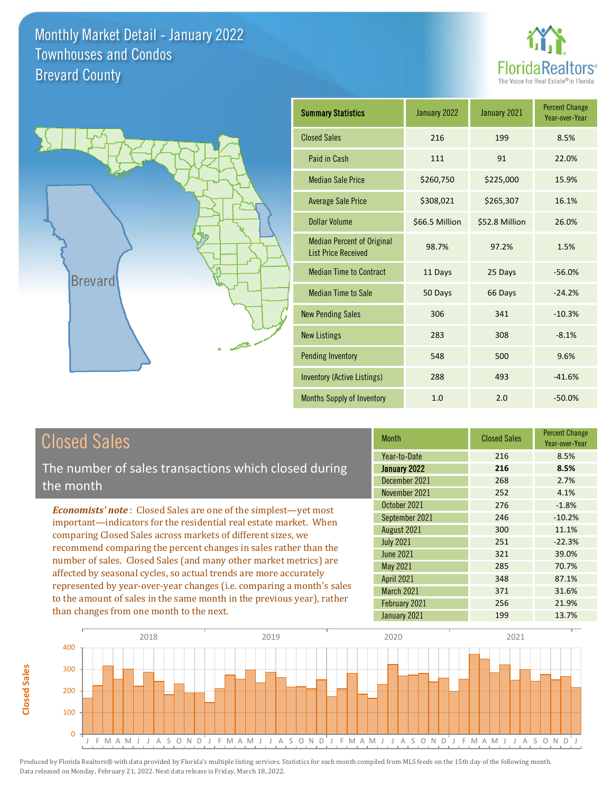



| <b>Summary Statistics</b>                                       | January 2022   | January 2021   | <b>Percent Change</b><br>Year-over-Year |
|-----------------------------------------------------------------|----------------|----------------|-----------------------------------------|
| <b>Closed Sales</b>                                             | 216            | 199            | 8.5%                                    |
| Paid in Cash                                                    | 111            | 91             | 22.0%                                   |
| <b>Median Sale Price</b>                                        | \$260,750      | \$225,000      | 15.9%                                   |
| <b>Average Sale Price</b>                                       | \$308,021      | \$265,307      | 16.1%                                   |
| Dollar Volume                                                   | \$66.5 Million | \$52.8 Million | 26.0%                                   |
| <b>Median Percent of Original</b><br><b>List Price Received</b> | 98.7%          | 97.2%          | 1.5%                                    |
| <b>Median Time to Contract</b>                                  | 11 Days        | 25 Days        | $-56.0%$                                |
| <b>Median Time to Sale</b>                                      | 50 Days        | 66 Days        | $-24.2%$                                |
| <b>New Pending Sales</b>                                        | 306            | 341            | $-10.3%$                                |
| <b>New Listings</b>                                             | 283            | 308            | $-8.1%$                                 |
| <b>Pending Inventory</b>                                        | 548            | 500            | 9.6%                                    |
| Inventory (Active Listings)                                     | 288            | 493            | $-41.6%$                                |
| <b>Months Supply of Inventory</b>                               | 1.0            | 2.0            | $-50.0%$                                |

# Closed Sales

**Closed Sales**

**Closed Sales** 

The number of sales transactions which closed during the month

*Economists' note* : Closed Sales are one of the simplest—yet most important—indicators for the residential real estate market. When comparing Closed Sales across markets of different sizes, we recommend comparing the percent changes in sales rather than the number of sales. Closed Sales (and many other market metrics) are affected by seasonal cycles, so actual trends are more accurately represented by year-over-year changes (i.e. comparing a month's sales to the amount of sales in the same month in the previous year), rather than changes from one month to the next.

| <b>Month</b>      | <b>Closed Sales</b> | <b>Percent Change</b><br>Year-over-Year |
|-------------------|---------------------|-----------------------------------------|
| Year-to-Date      | 216                 | 8.5%                                    |
| January 2022      | 216                 | 8.5%                                    |
| December 2021     | 268                 | 2.7%                                    |
| November 2021     | 252                 | 4.1%                                    |
| October 2021      | 276                 | $-1.8%$                                 |
| September 2021    | 246                 | $-10.2%$                                |
| August 2021       | 300                 | 11.1%                                   |
| <b>July 2021</b>  | 251                 | $-22.3%$                                |
| <b>June 2021</b>  | 321                 | 39.0%                                   |
| May 2021          | 285                 | 70.7%                                   |
| <b>April 2021</b> | 348                 | 87.1%                                   |
| March 2021        | 371                 | 31.6%                                   |
| February 2021     | 256                 | 21.9%                                   |
| January 2021      | 199                 | 13.7%                                   |

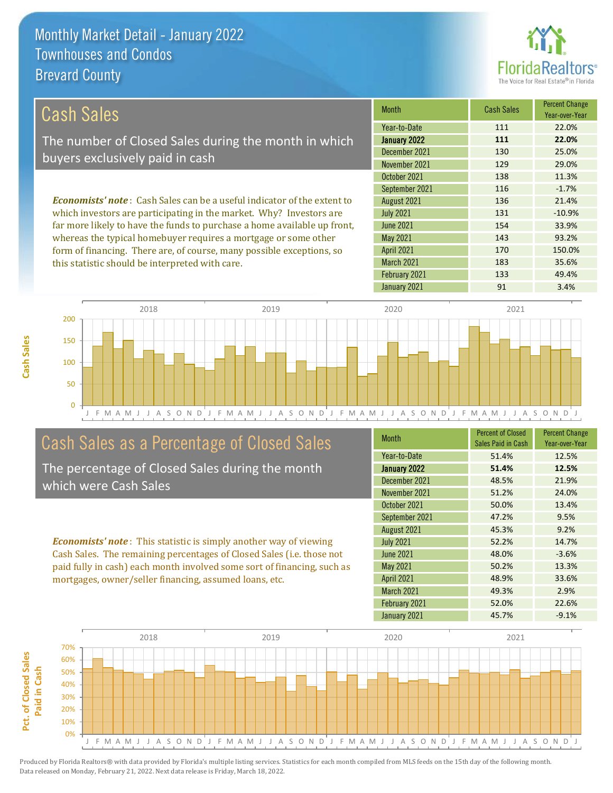this statistic should be interpreted with care.



183 35.6%

| Cash Sales                                                                      | <b>Month</b>      | <b>Cash Sales</b> | <b>Percent Change</b><br>Year-over-Year |
|---------------------------------------------------------------------------------|-------------------|-------------------|-----------------------------------------|
|                                                                                 | Year-to-Date      | 111               | 22.0%                                   |
| The number of Closed Sales during the month in which                            | January 2022      | 111               | 22.0%                                   |
| buyers exclusively paid in cash                                                 | December 2021     | 130               | 25.0%                                   |
|                                                                                 | November 2021     | 129               | 29.0%                                   |
|                                                                                 | October 2021      | 138               | 11.3%                                   |
|                                                                                 | September 2021    | 116               | $-1.7%$                                 |
| <b>Economists' note</b> : Cash Sales can be a useful indicator of the extent to | August 2021       | 136               | 21.4%                                   |
| which investors are participating in the market. Why? Investors are             | <b>July 2021</b>  | 131               | $-10.9%$                                |
| far more likely to have the funds to purchase a home available up front,        | <b>June 2021</b>  | 154               | 33.9%                                   |
| whereas the typical homebuyer requires a mortgage or some other                 | May 2021          | 143               | 93.2%                                   |
| form of financing. There are, of course, many possible exceptions, so           | <b>April 2021</b> | 170               | 150.0%                                  |



## Cash Sales as a Percentage of Closed Sales

The percentage of Closed Sales during the month which were Cash Sales

*Economists' note* : This statistic is simply another way of viewing Cash Sales. The remaining percentages of Closed Sales (i.e. those not paid fully in cash) each month involved some sort of financing, such as mortgages, owner/seller financing, assumed loans, etc.

| <b>Month</b>      | <b>Percent of Closed</b><br>Sales Paid in Cash | <b>Percent Change</b><br>Year-over-Year |
|-------------------|------------------------------------------------|-----------------------------------------|
| Year-to-Date      | 51.4%                                          | 12.5%                                   |
| January 2022      | 51.4%                                          | 12.5%                                   |
| December 2021     | 48.5%                                          | 21.9%                                   |
| November 2021     | 51.2%                                          | 24.0%                                   |
| October 2021      | 50.0%                                          | 13.4%                                   |
| September 2021    | 47.2%                                          | 9.5%                                    |
| August 2021       | 45.3%                                          | 9.2%                                    |
| <b>July 2021</b>  | 52.2%                                          | 14.7%                                   |
| <b>June 2021</b>  | 48.0%                                          | $-3.6%$                                 |
| <b>May 2021</b>   | 50.2%                                          | 13.3%                                   |
| <b>April 2021</b> | 48.9%                                          | 33.6%                                   |
| March 2021        | 49.3%                                          | 2.9%                                    |
| February 2021     | 52.0%                                          | 22.6%                                   |
| January 2021      | 45.7%                                          | $-9.1%$                                 |

January 2021 91 91 3.4%

February 2021 133 49.4%

March 2021

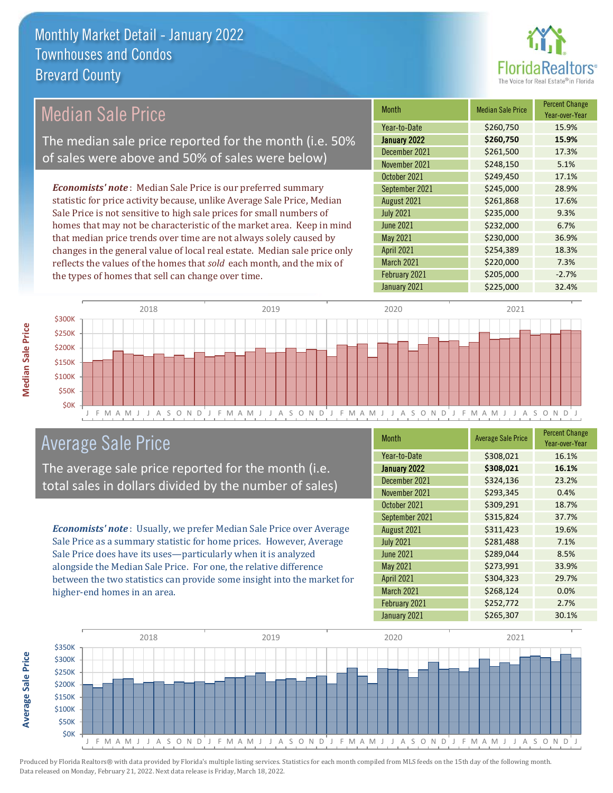

Year-over-Year

#### January 2022 **\$260,750 15.9%** Year-to-Date \$260,750 15.9% June 2021 **\$232,000 6.7%** December 2021 \$261,500 17.3% November 2021 **\$248,150** 5.1% August 2021 **\$261,868** 17.6% July 2021 **\$235,000** 9.3% October 2021 **\$249,450** 17.1% September 2021 **\$245,000** 28.9% May 2021 **\$230,000** \$230,000 36.9% April 2021 **\$254,389** 18.3% March 2021 **\$220,000** \$200,000 7.3% February 2021  $\bigcup$  \$205,000 -2.7% January 2021 **\$225,000** \$225,000 *Economists' note* : Median Sale Price is our preferred summary statistic for price activity because, unlike Average Sale Price, Median Sale Price is not sensitive to high sale prices for small numbers of homes that may not be characteristic of the market area. Keep in mind that median price trends over time are not always solely caused by changes in the general value of local real estate. Median sale price only reflects the values of the homes that *sold* each month, and the mix of the types of homes that sell can change over time. Median Sale Price The median sale price reported for the month (i.e. 50% of sales were above and 50% of sales were below)



## Average Sale Price

The average sale price reported for the month (i.e. total sales in dollars divided by the number of sales)

*Economists' note* : Usually, we prefer Median Sale Price over Average Sale Price as a summary statistic for home prices. However, Average Sale Price does have its uses—particularly when it is analyzed alongside the Median Sale Price. For one, the relative difference between the two statistics can provide some insight into the market for higher-end homes in an area.

| Month             | <b>Average Sale Price</b> | <b>Percent Change</b><br>Year-over-Year |
|-------------------|---------------------------|-----------------------------------------|
| Year-to-Date      | \$308,021                 | 16.1%                                   |
| January 2022      | \$308,021                 | 16.1%                                   |
| December 2021     | \$324,136                 | 23.2%                                   |
| November 2021     | \$293,345                 | 0.4%                                    |
| October 2021      | \$309,291                 | 18.7%                                   |
| September 2021    | \$315,824                 | 37.7%                                   |
| August 2021       | \$311,423                 | 19.6%                                   |
| <b>July 2021</b>  | \$281,488                 | 7.1%                                    |
| <b>June 2021</b>  | \$289,044                 | 8.5%                                    |
| May 2021          | \$273,991                 | 33.9%                                   |
| <b>April 2021</b> | \$304,323                 | 29.7%                                   |
| March 2021        | \$268,124                 | 0.0%                                    |
| February 2021     | \$252,772                 | 2.7%                                    |
| January 2021      | \$265,307                 | 30.1%                                   |



Produced by Florida Realtors® with data provided by Florida's multiple listing services. Statistics for each month compiled from MLS feeds on the 15th day of the following month. Data released on Monday, February 21, 2022. Next data release is Friday, March 18, 2022.

Month Median Sale Price Percent Change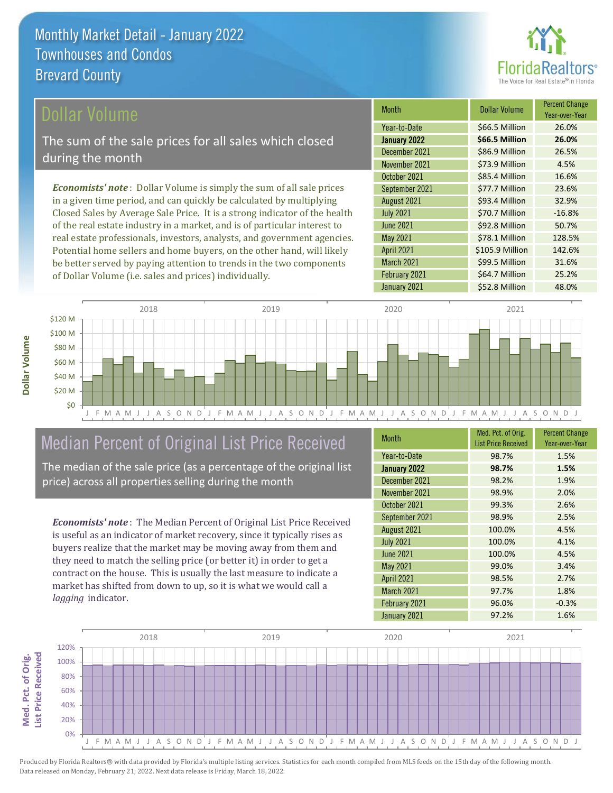

### ollar Volume

The sum of the sale prices for all sales which closed during the month

*Economists' note* : Dollar Volume is simply the sum of all sale prices in a given time period, and can quickly be calculated by multiplying Closed Sales by Average Sale Price. It is a strong indicator of the health of the real estate industry in a market, and is of particular interest to real estate professionals, investors, analysts, and government agencies. Potential home sellers and home buyers, on the other hand, will likely be better served by paying attention to trends in the two components of Dollar Volume (i.e. sales and prices) individually.

| <b>Month</b>      | <b>Dollar Volume</b> | <b>Percent Change</b><br>Year-over-Year |
|-------------------|----------------------|-----------------------------------------|
| Year-to-Date      | \$66.5 Million       | 26.0%                                   |
| January 2022      | \$66.5 Million       | 26.0%                                   |
| December 2021     | \$86.9 Million       | 26.5%                                   |
| November 2021     | \$73.9 Million       | 4.5%                                    |
| October 2021      | \$85.4 Million       | 16.6%                                   |
| September 2021    | \$77.7 Million       | 23.6%                                   |
| August 2021       | \$93.4 Million       | 32.9%                                   |
| <b>July 2021</b>  | \$70.7 Million       | $-16.8%$                                |
| <b>June 2021</b>  | \$92.8 Million       | 50.7%                                   |
| May 2021          | \$78.1 Million       | 128.5%                                  |
| <b>April 2021</b> | \$105.9 Million      | 142.6%                                  |
| March 2021        | \$99.5 Million       | 31.6%                                   |
| February 2021     | \$64.7 Million       | 25.2%                                   |
| January 2021      | \$52.8 Million       | 48.0%                                   |



# Median Percent of Original List Price Received

The median of the sale price (as a percentage of the original list price) across all properties selling during the month

*Economists' note* : The Median Percent of Original List Price Received is useful as an indicator of market recovery, since it typically rises as buyers realize that the market may be moving away from them and they need to match the selling price (or better it) in order to get a contract on the house. This is usually the last measure to indicate a market has shifted from down to up, so it is what we would call a *lagging* indicator.

| <b>Month</b>      | Med. Pct. of Orig.<br><b>List Price Received</b> | <b>Percent Change</b><br>Year-over-Year |
|-------------------|--------------------------------------------------|-----------------------------------------|
| Year-to-Date      | 98.7%                                            | 1.5%                                    |
| January 2022      | 98.7%                                            | 1.5%                                    |
| December 2021     | 98.2%                                            | 1.9%                                    |
| November 2021     | 98.9%                                            | 2.0%                                    |
| October 2021      | 99.3%                                            | 2.6%                                    |
| September 2021    | 98.9%                                            | 2.5%                                    |
| August 2021       | 100.0%                                           | 4.5%                                    |
| <b>July 2021</b>  | 100.0%                                           | 4.1%                                    |
| <b>June 2021</b>  | 100.0%                                           | 4.5%                                    |
| May 2021          | 99.0%                                            | 3.4%                                    |
| <b>April 2021</b> | 98.5%                                            | 2.7%                                    |
| March 2021        | 97.7%                                            | 1.8%                                    |
| February 2021     | 96.0%                                            | $-0.3%$                                 |
| January 2021      | 97.2%                                            | 1.6%                                    |

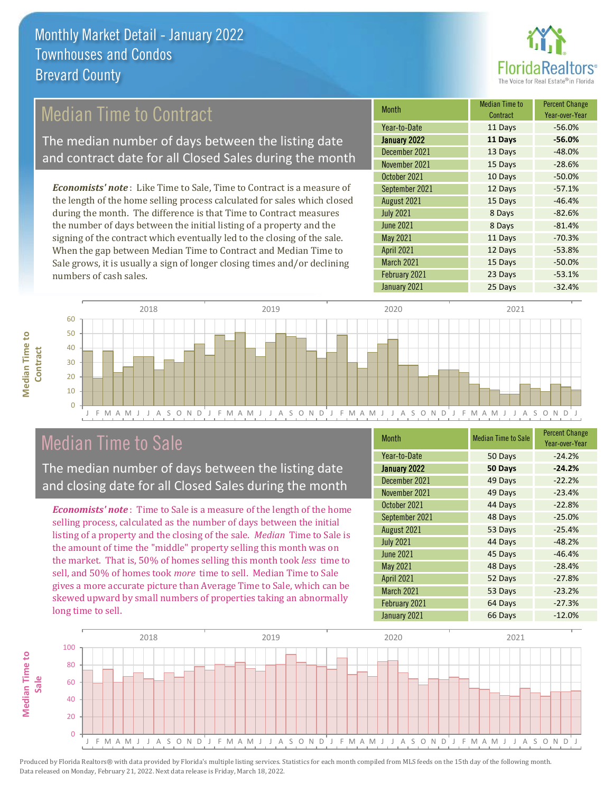

## Median Time to Contract

The median number of days between the listing date and contract date for all Closed Sales during the month

*Economists' note* : Like Time to Sale, Time to Contract is a measure of the length of the home selling process calculated for sales which closed during the month. The difference is that Time to Contract measures the number of days between the initial listing of a property and the signing of the contract which eventually led to the closing of the sale. When the gap between Median Time to Contract and Median Time to Sale grows, it is usually a sign of longer closing times and/or declining numbers of cash sales.

| <b>Month</b>        | <b>Median Time to</b><br>Contract | <b>Percent Change</b><br>Year-over-Year |
|---------------------|-----------------------------------|-----------------------------------------|
| Year-to-Date        | 11 Days                           | $-56.0%$                                |
| <b>January 2022</b> | 11 Days                           | $-56.0%$                                |
| December 2021       | 13 Days                           | $-48.0%$                                |
| November 2021       | 15 Days                           | $-28.6%$                                |
| October 2021        | 10 Days                           | $-50.0%$                                |
| September 2021      | 12 Days                           | $-57.1%$                                |
| August 2021         | 15 Days                           | $-46.4%$                                |
| <b>July 2021</b>    | 8 Days                            | $-82.6%$                                |
| <b>June 2021</b>    | 8 Days                            | $-81.4%$                                |
| May 2021            | 11 Days                           | $-70.3%$                                |
| <b>April 2021</b>   | 12 Days                           | $-53.8%$                                |
| March 2021          | 15 Days                           | $-50.0%$                                |
| February 2021       | 23 Days                           | $-53.1%$                                |
| January 2021        | 25 Days                           | $-32.4%$                                |





## Median Time to Sale

The median number of days between the listing date and closing date for all Closed Sales during the month

*Economists' note* : Time to Sale is a measure of the length of the home selling process, calculated as the number of days between the initial listing of a property and the closing of the sale. *Median* Time to Sale is the amount of time the "middle" property selling this month was on the market. That is, 50% of homes selling this month took *less* time to sell, and 50% of homes took *more* time to sell. Median Time to Sale gives a more accurate picture than Average Time to Sale, which can be skewed upward by small numbers of properties taking an abnormally long time to sell.

| <b>Month</b>      | <b>Median Time to Sale</b> | <b>Percent Change</b><br>Year-over-Year |
|-------------------|----------------------------|-----------------------------------------|
| Year-to-Date      | 50 Days                    | $-24.2%$                                |
| January 2022      | 50 Days                    | $-24.2%$                                |
| December 2021     | 49 Days                    | $-22.2%$                                |
| November 2021     | 49 Days                    | $-23.4%$                                |
| October 2021      | 44 Days                    | $-22.8%$                                |
| September 2021    | 48 Days                    | $-25.0%$                                |
| August 2021       | 53 Days                    | $-25.4%$                                |
| <b>July 2021</b>  | 44 Days                    | $-48.2%$                                |
| <b>June 2021</b>  | 45 Days                    | $-46.4%$                                |
| <b>May 2021</b>   | 48 Days                    | $-28.4%$                                |
| <b>April 2021</b> | 52 Days                    | $-27.8%$                                |
| March 2021        | 53 Days                    | $-23.2%$                                |
| February 2021     | 64 Days                    | $-27.3%$                                |
| January 2021      | 66 Days                    | $-12.0%$                                |

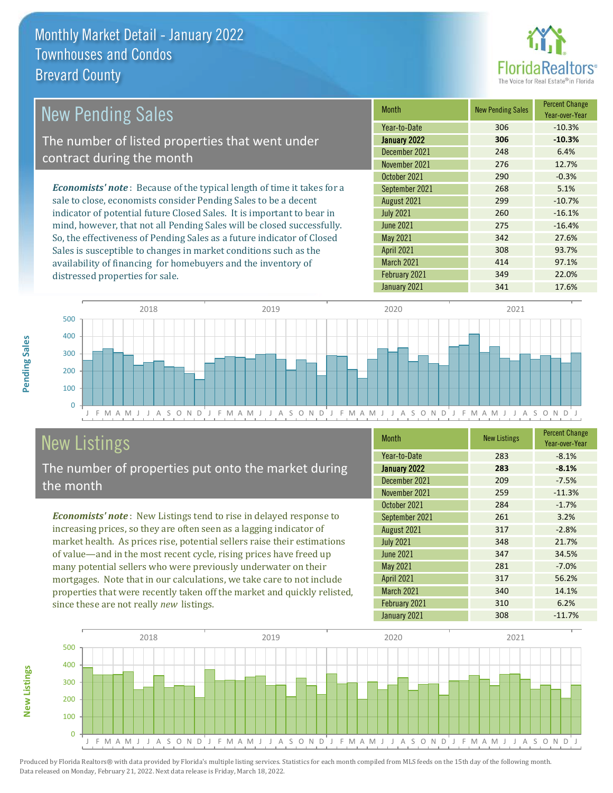

| New Pending Sales                                                              | <b>Month</b>      | <b>New Pending Sales</b> | <b>Percent Change</b><br>Year-over-Year |
|--------------------------------------------------------------------------------|-------------------|--------------------------|-----------------------------------------|
|                                                                                | Year-to-Date      | 306                      | $-10.3%$                                |
| The number of listed properties that went under                                | January 2022      | 306                      | $-10.3%$                                |
| contract during the month                                                      | December 2021     | 248                      | 6.4%                                    |
|                                                                                | November 2021     | 276                      | 12.7%                                   |
|                                                                                | October 2021      | 290                      | $-0.3%$                                 |
| <b>Economists' note</b> : Because of the typical length of time it takes for a | September 2021    | 268                      | 5.1%                                    |
| sale to close, economists consider Pending Sales to be a decent                | August 2021       | 299                      | $-10.7%$                                |
| indicator of potential future Closed Sales. It is important to bear in         | <b>July 2021</b>  | 260                      | $-16.1%$                                |
| mind, however, that not all Pending Sales will be closed successfully.         | <b>June 2021</b>  | 275                      | $-16.4%$                                |
| So, the effectiveness of Pending Sales as a future indicator of Closed         | May 2021          | 342                      | 27.6%                                   |
| Sales is susceptible to changes in market conditions such as the               | <b>April 2021</b> | 308                      | 93.7%                                   |



# New Listings

distressed properties for sale.

The number of properties put onto the market during the month

availability of financing for homebuyers and the inventory of

*Economists' note* : New Listings tend to rise in delayed response to increasing prices, so they are often seen as a lagging indicator of market health. As prices rise, potential sellers raise their estimations of value—and in the most recent cycle, rising prices have freed up many potential sellers who were previously underwater on their mortgages. Note that in our calculations, we take care to not include properties that were recently taken off the market and quickly relisted, since these are not really *new* listings.

| <b>Month</b>      | <b>New Listings</b> | <b>Percent Change</b><br>Year-over-Year |
|-------------------|---------------------|-----------------------------------------|
| Year-to-Date      | 283                 | $-8.1%$                                 |
| January 2022      | 283                 | $-8.1%$                                 |
| December 2021     | 209                 | $-7.5%$                                 |
| November 2021     | 259                 | $-11.3%$                                |
| October 2021      | 284                 | $-1.7%$                                 |
| September 2021    | 261                 | 3.2%                                    |
| August 2021       | 317                 | $-2.8%$                                 |
| <b>July 2021</b>  | 348                 | 21.7%                                   |
| <b>June 2021</b>  | 347                 | 34.5%                                   |
| May 2021          | 281                 | $-7.0%$                                 |
| <b>April 2021</b> | 317                 | 56.2%                                   |
| March 2021        | 340                 | 14.1%                                   |
| February 2021     | 310                 | 6.2%                                    |
| January 2021      | 308                 | $-11.7%$                                |

March 2021 **414** 97.1% February 2021 349 349 22.0% January 2021 **341** 17.6%



**New Listings**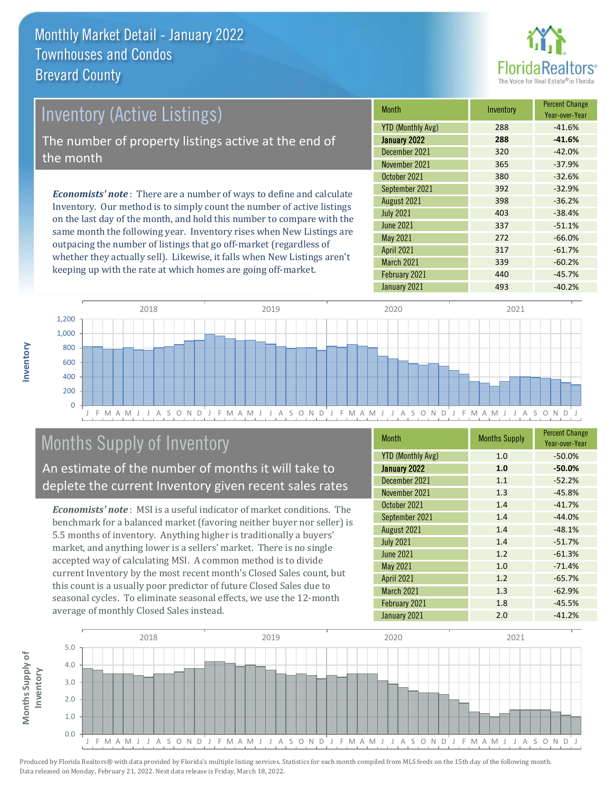

# *Economists' note* : There are a number of ways to define and calculate Inventory (Active Listings) The number of property listings active at the end of the month

Inventory. Our method is to simply count the number of active listings on the last day of the month, and hold this number to compare with the same month the following year. Inventory rises when New Listings are outpacing the number of listings that go off-market (regardless of whether they actually sell). Likewise, it falls when New Listings aren't keeping up with the rate at which homes are going off-market.

| <b>Month</b>             | Inventory | <b>Percent Change</b><br>Year-over-Year |
|--------------------------|-----------|-----------------------------------------|
| <b>YTD (Monthly Avg)</b> | 288       | $-41.6%$                                |
| January 2022             | 288       | $-41.6%$                                |
| December 2021            | 320       | $-42.0%$                                |
| November 2021            | 365       | $-37.9%$                                |
| October 2021             | 380       | $-32.6%$                                |
| September 2021           | 392       | $-32.9%$                                |
| August 2021              | 398       | $-36.2%$                                |
| <b>July 2021</b>         | 403       | $-38.4%$                                |
| <b>June 2021</b>         | 337       | $-51.1%$                                |
| <b>May 2021</b>          | 272       | $-66.0%$                                |
| <b>April 2021</b>        | 317       | $-61.7%$                                |
| March 2021               | 339       | $-60.2%$                                |
| February 2021            | 440       | $-45.7%$                                |
| January 2021             | 493       | $-40.2%$                                |



# Months Supply of Inventory

An estimate of the number of months it will take to deplete the current Inventory given recent sales rates

*Economists' note* : MSI is a useful indicator of market conditions. The benchmark for a balanced market (favoring neither buyer nor seller) is 5.5 months of inventory. Anything higher is traditionally a buyers' market, and anything lower is a sellers' market. There is no single accepted way of calculating MSI. A common method is to divide current Inventory by the most recent month's Closed Sales count, but this count is a usually poor predictor of future Closed Sales due to seasonal cycles. To eliminate seasonal effects, we use the 12-month average of monthly Closed Sales instead.

| <b>Month</b>             | <b>Months Supply</b> | <b>Percent Change</b><br>Year-over-Year |
|--------------------------|----------------------|-----------------------------------------|
| <b>YTD (Monthly Avg)</b> | 1.0                  | $-50.0%$                                |
| <b>January 2022</b>      | 1.0                  | $-50.0%$                                |
| December 2021            | 1.1                  | $-52.2%$                                |
| November 2021            | 1.3                  | $-45.8%$                                |
| October 2021             | 1.4                  | $-41.7%$                                |
| September 2021           | 1.4                  | $-44.0%$                                |
| August 2021              | 1.4                  | $-48.1%$                                |
| <b>July 2021</b>         | 1.4                  | $-51.7%$                                |
| <b>June 2021</b>         | 1.2                  | $-61.3%$                                |
| <b>May 2021</b>          | 1.0                  | $-71.4%$                                |
| <b>April 2021</b>        | 1.2                  | $-65.7%$                                |
| March 2021               | 1.3                  | $-62.9%$                                |
| February 2021            | 1.8                  | $-45.5%$                                |
| January 2021             | 2.0                  | $-41.2%$                                |



**Inventory**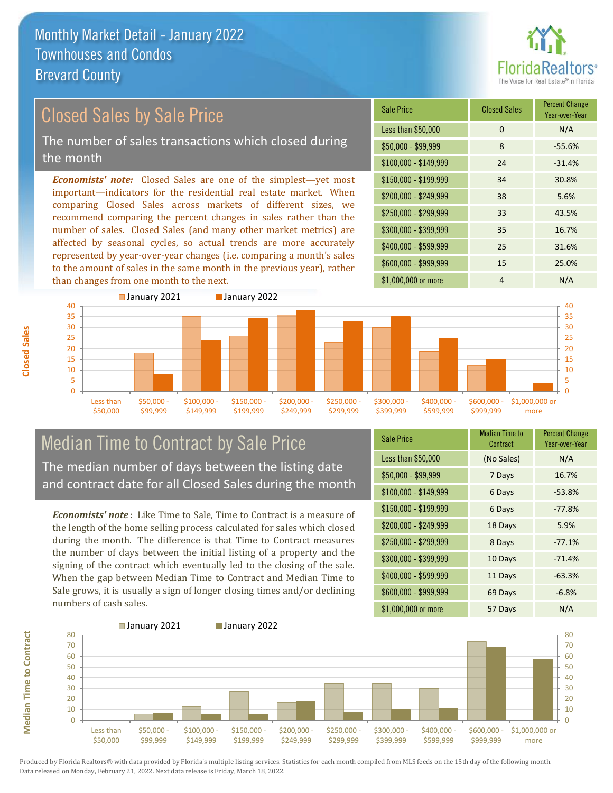

#### *Economists' note:* Closed Sales are one of the simplest—yet most important—indicators for the residential real estate market. When comparing Closed Sales across markets of different sizes, we recommend comparing the percent changes in sales rather than the number of sales. Closed Sales (and many other market metrics) are affected by seasonal cycles, so actual trends are more accurately represented by year-over-year changes (i.e. comparing a month's sales to the amount of sales in the same month in the previous year), rather than changes from one month to the next. \$1,000,000 or more 4 N/A \$250,000 - \$299,999 33 43.5% \$300,000 - \$399,999 35 16.7% \$400,000 - \$599,999 25 31.6% \$600,000 - \$999,999 15 25.0% \$150,000 - \$199,999 34 30.8% \$200,000 - \$249,999 38 5.6%  $$100,000 - $149,999$  24 -31.4% Sale Price Closed Sales Percent Change Year-over-Year Less than \$50,000 0 0 N/A \$50,000 - \$99,999 8 -55.6% Closed Sales by Sale Price The number of sales transactions which closed during the month



### Median Time to Contract by Sale Price The median number of days between the listing date and contract date for all Closed Sales during the month

*Economists' note* : Like Time to Sale, Time to Contract is a measure of the length of the home selling process calculated for sales which closed during the month. The difference is that Time to Contract measures the number of days between the initial listing of a property and the signing of the contract which eventually led to the closing of the sale. When the gap between Median Time to Contract and Median Time to Sale grows, it is usually a sign of longer closing times and/or declining numbers of cash sales.

| <b>Sale Price</b>     | <b>Median Time to</b><br>Contract | <b>Percent Change</b><br>Year-over-Year |
|-----------------------|-----------------------------------|-----------------------------------------|
| Less than \$50,000    | (No Sales)                        | N/A                                     |
| $$50,000 - $99,999$   | 7 Days                            | 16.7%                                   |
| $$100,000 - $149,999$ | 6 Days                            | $-53.8%$                                |
| \$150,000 - \$199,999 | 6 Days                            | $-77.8%$                                |
| \$200,000 - \$249,999 | 18 Days                           | 5.9%                                    |
| \$250,000 - \$299,999 | 8 Days                            | $-77.1%$                                |
| \$300,000 - \$399,999 | 10 Days                           | $-71.4%$                                |
| \$400,000 - \$599,999 | 11 Days                           | $-63.3%$                                |
| \$600,000 - \$999,999 | 69 Days                           | $-6.8%$                                 |
| \$1,000,000 or more   | 57 Days                           | N/A                                     |



**Closed Sales**

**Median Time to Contract Median Time to Contract**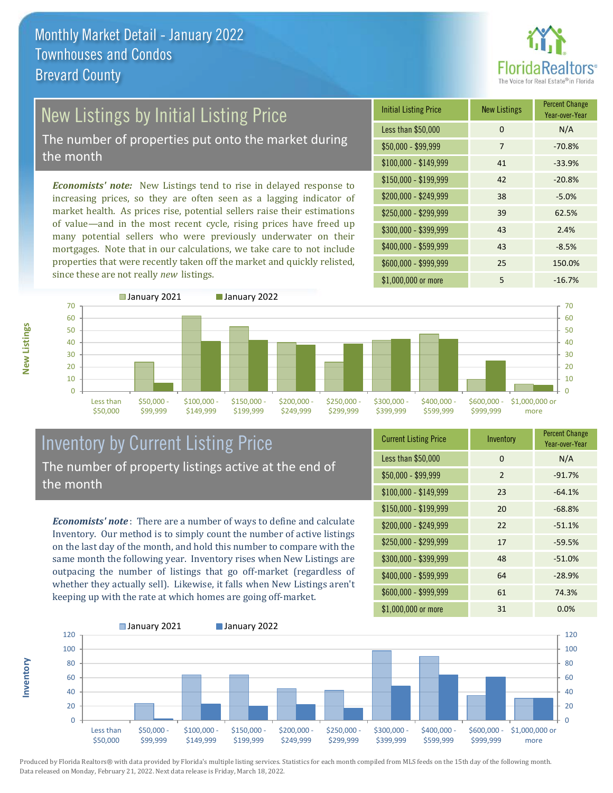

# New Listings by Initial Listing Price

The number of properties put onto the market during the month

*Economists' note:* New Listings tend to rise in delayed response to increasing prices, so they are often seen as a lagging indicator of market health. As prices rise, potential sellers raise their estimations of value—and in the most recent cycle, rising prices have freed up many potential sellers who were previously underwater on their mortgages. Note that in our calculations, we take care to not include properties that were recently taken off the market and quickly relisted, since these are not really *new* listings.





### Inventory by Current Listing Price The number of property listings active at the end of the month

*Economists' note* : There are a number of ways to define and calculate Inventory. Our method is to simply count the number of active listings on the last day of the month, and hold this number to compare with the same month the following year. Inventory rises when New Listings are outpacing the number of listings that go off-market (regardless of whether they actually sell). Likewise, it falls when New Listings aren't keeping up with the rate at which homes are going off-market.

| <b>Current Listing Price</b> | Inventory      | <b>Percent Change</b><br>Year-over-Year |
|------------------------------|----------------|-----------------------------------------|
| Less than \$50,000           | $\Omega$       | N/A                                     |
| $$50,000 - $99,999$          | $\overline{2}$ | $-91.7%$                                |
| $$100,000 - $149,999$        | 23             | $-64.1%$                                |
| $$150,000 - $199,999$        | 20             | $-68.8%$                                |
| \$200,000 - \$249,999        | 22             | $-51.1%$                                |
| \$250,000 - \$299,999        | 17             | $-59.5%$                                |
| \$300,000 - \$399,999        | 48             | $-51.0%$                                |
| \$400,000 - \$599,999        | 64             | $-28.9%$                                |
| \$600,000 - \$999,999        | 61             | 74.3%                                   |
| \$1,000,000 or more          | 31             | 0.0%                                    |



Produced by Florida Realtors® with data provided by Florida's multiple listing services. Statistics for each month compiled from MLS feeds on the 15th day of the following month. Data released on Monday, February 21, 2022. Next data release is Friday, March 18, 2022.

**Inventory**